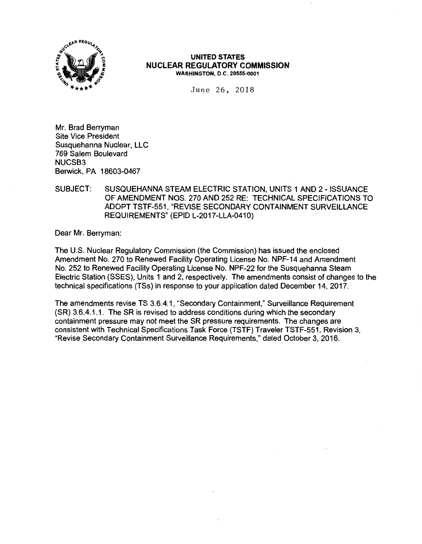

## **UNITED STATES NUCLEAR REGULATORY COMMISSION WASHINGTON, D.C. 20555-0001**

June 26, 2018

Mr. Brad Berryman Site Vice President Susquehanna Nuclear, LLC 769 Salem Boulevard NUCSB3 Berwick, PA 18603-0467

# SUBJECT: SUSQUEHANNA STEAM ELECTRIC STATION, UNITS 1 AND 2- ISSUANCE OF AMENDMENT NOS. 270 AND 252 RE: TECHNICAL SPECIFICATIONS TO ADOPT TSTF-551, "REVISE SECONDARY CONTAINMENT SURVEILLANCE REQUIREMENTS" (EPID L-2017-LLA-0410)

Dear Mr. Berryman:

The U.S. Nuclear Regulatory Commission (the Commission) has issued the enclosed Amendment No. 270 to Renewed Facility Operating License No. NPF-14 and Amendment No. 252 to Renewed Facility Operating License No. NPF-22 for the Susquehanna Steam Electric Station (SSES), Units 1 and 2, respectively. The amendments consist of changes to the technical specifications (TSs) in response to your application dated December 14, 2017.

The amendments revise TS 3.6.4.1, "Secondary Containment," Surveillance Requirement (SR) 3.6.4.1.1. The SR is revised to address conditions during which the secondary containment pressure may not meet the SR pressure requirements. The changes are consistent with Technical Specifications Task Force (TSTF) Traveler TSTF-551, Revision 3, "Revise Secondary Containment Surveillance Requirements," dated October 3, 2016.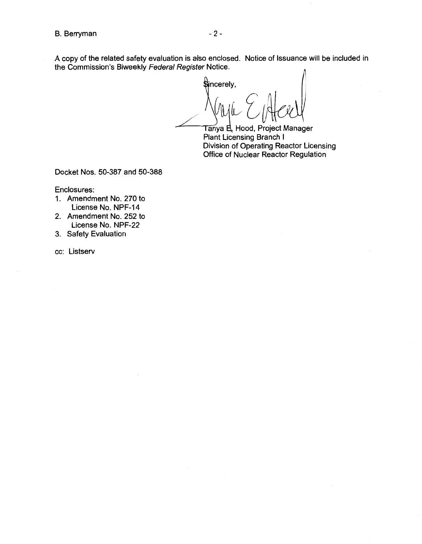#### B. Berryman - 2 -

A copy of the related safety evaluation is also enclosed. Notice of Issuance will be included in the Commission's Biweekly Federal Register Notice.

Sincerely,

Tanya E, Hood, Project Manager<br>Plant Licensing Branch I Division of Operating Reactor Licensing Office of Nuclear Reactor Regulation

Docket Nos. 50-387 and 50-388

Enclosures:

- 1. Amendment No. 270 to License No. NPF-14
- 2. Amendment No. 252 to License No. NPF-22
- 3. Safety Evaluation

cc: Listserv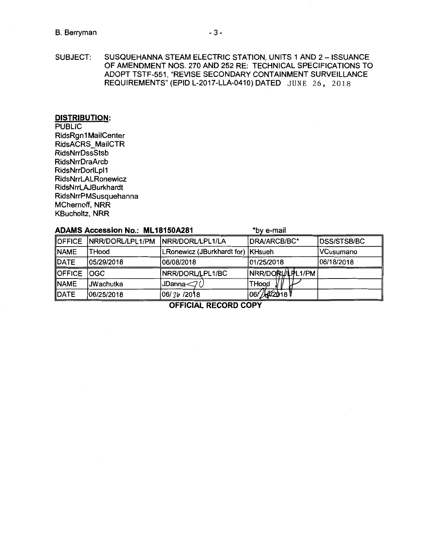## B. Berryman - 3 - 3 -

SUBJECT: SUSQUEHANNA STEAM ELECTRIC STATION, UNITS 1 AND 2 - ISSUANCE OF AMENDMENT NOS. 270 AND 252 RE: TECHNICAL SPECIFICATIONS TO ADOPT TSTF-551, "REVISE SECONDARY CONTAINMENT SURVEILLANCE REQUIREMENTS" (EPID L-2017-LLA-0410) DATED JUNE 26, 2018

## **DISTRIBUTION:**

**PUBLIC** RidsRgn1 MailCenter RidsACRS MailCTR RidsNrrDssStsb RidsNrrDraArcb RidsNrrDorlLpl1 RidsNrrLALRonewicz RidsNrrLAJBurkhardt RidsNrrPMSusquehanna MChernoff, NRR KBucholtz, NRR

## **ADAMS Accession No.: ML18150A281** \*by e-mail

OFFICE NRR/DORL/LPL1/PM NRR/DORL/LPL1/LA | DRA/ARCB/BC\* NAME THood **LRonewicz (JBurkhardt for)** KHsueh DATE 05/29/2018 06/08/2018 01/25/2018 OFFICE OGC NRR/DORL/LPL1/BC NRR/DO PULPL1/PM  $NAME$  JWachutka JDanna $\bigcirc$  THood  $\bigvee$  THood  $\bigvee$  DATE 06/25/2018 06/26/2018 06/26/2018 DATE 06/25/2018 06/ 76 / 2018 06/ 4/2018 DSS/STSB/BC VCusumano 06/18/2018 ·

**OFFICIAL RECORD COPY**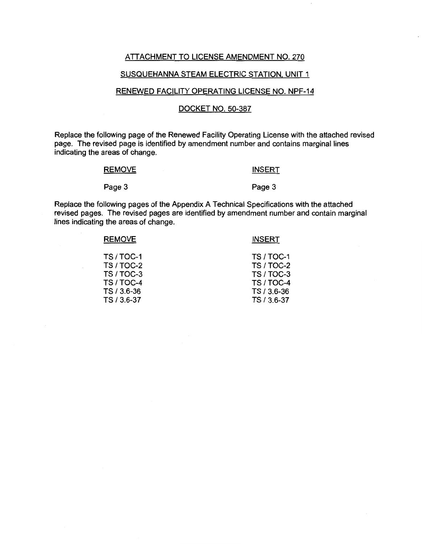## ATTACHMENT TO LICENSE AMENDMENT NO. 270

## SUSQUEHANNA STEAM ELECTRIC STATION, UNIT 1

## RENEWED FACILITY OPERATING LICENSE NO. NPF-14

## DOCKET NO. 50-387

Replace the following page of the Renewed Facility Operating License with the attached revised page. The revised page is identified by amendment number and contains marginal lines indicating the areas of change.

#### **REMOVE**

## **INSERT**

#### Page 3

Page 3

Replace the following pages of the Appendix A Technical Specifications with the attached revised pages. The revised pages are identified by amendment number and contain marginal lines indicating the areas of change.

| <b>REMOVE</b>   | <b>INSERT</b>     |
|-----------------|-------------------|
| <b>TS/TOC-1</b> | <b>TS / TOC-1</b> |
| TS / TOC-2      | TS / TOC-2        |
| TS / TOC-3      | TS / TOC-3        |
| TS / TOC-4      | TS / TOC-4        |
| TS / 3.6-36     | TS / 3.6-36       |
| TS / 3.6-37     | TS / 3.6-37       |
|                 |                   |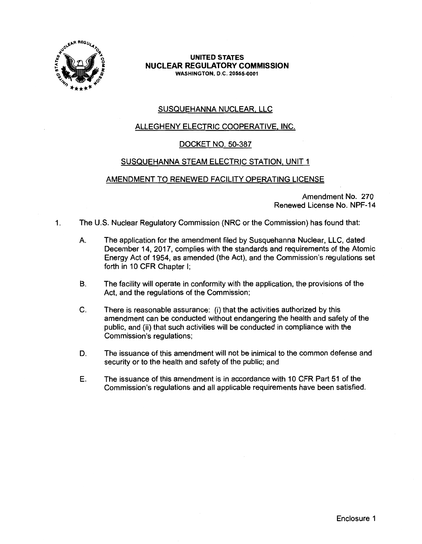

## **UNITED STATES NUCLEAR REGULATORY COMMISSION WASHINGTON,** D.C. **20555-0001**

# SUSQUEHANNA NUCLEAR, LLC

# ALLEGHENY ELECTRIC COOPERATIVE, INC.

# DOCKET NO. 50-387

# SUSQUEHANNA STEAM ELECTRIC STATION, UNIT 1

# AMENDMENT TO RENEWED FACILITY OPERATING LICENSE

Amendment No. 270 Renewed License No. NPF-14

- 1. The U.S. Nuclear Regulatory Commission (NRC or the Commission) has found that:
	- A. The application for the amendment filed by Susquehanna Nuclear, LLC, dated December 14, 2017, complies with the standards and requirements of the Atomic Energy Act of 1954, as amended (the Act), and the Commission's regulations set forth in 10 CFR Chapter I;
	- B. The facility will operate in conformity with the application, the provisions of the Act, and the regulations of the Commission;
	- C. There is reasonable assurance: (i) that the activities authorized by this amendment can be conducted without endangering the health and safety of the public, and (ii) that such activities will be conducted in compliance with the Commission's regulations;
	- D. The issuance of this amendment will not be inimical to the common defense and security or to the health and safety of the public; and
	- E. The issuance of this amendment is in accordance with 10 CFR Part 51 of the Commission's regulations and all applicable requirements have been satisfied.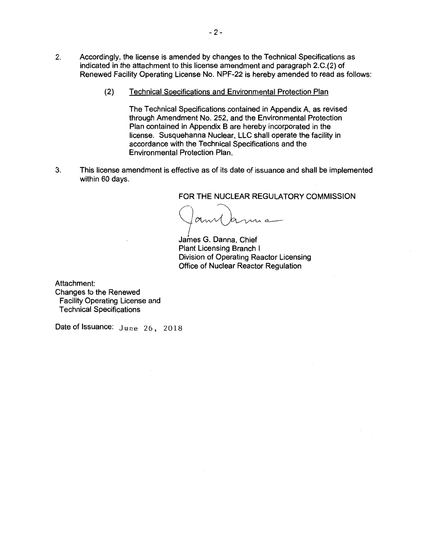- 2. Accordingly, the license is amended by changes to the Technical Specifications as indicated in the attachment to this license amendment and paragraph 2.C.(2) of Renewed Facility Operating License No. NPF-22 is hereby amended to read as follows:
	- (2) Technical Specifications and Environmental Protection Plan

The Technical Specifications contained in Appendix A, as revised through Amendment No. 252, and the Environmental Protection Plan contained in Appendix B are hereby incorporated in the license. Susquehanna Nuclear, LLC shall operate the facility in accordance with the Technical Specifications and the Environmental Protection Plan.

3. This license amendment is effective as of its date of issuance and shall be implemented within 60 days.

FOR THE NUCLEAR REGULATORY COMMISSION

am Came

James G. Danna, Chief Plant Licensing Branch I Division of Operating Reactor Licensing Office of Nuclear Reactor Regulation

Attachment: Changes to the Renewed Facility Operating License and Technical Specifications

Date of Issuance: June 26, 2018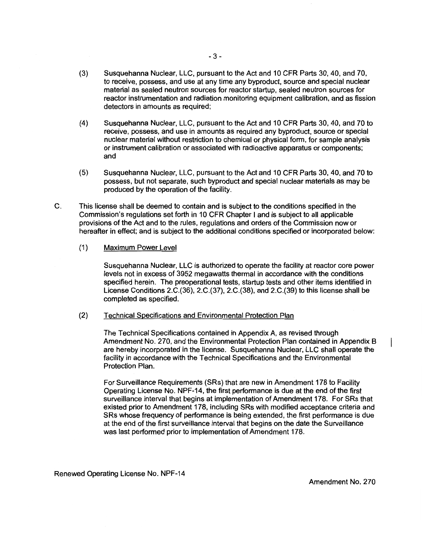- (3) Susquehanna Nuclear, LLC, pursuant to the Act and 10 CFR Parts 30, 40, and 70, to receive, possess, and use at any time any byproduct, source and special nuclear material as sealed neutron sources for reactor startup, sealed neutron sources for reactor instrumentation and radiation monitoring equipment calibration, and as fission detectors in amounts as required;
- (4) Susquehanna Nuclear, LLC, pursuant to the Act and 10 CFR Parts 30, 40, and 70 to receive, possess, and use in amounts as required any byproduct, source or special nuclear material without restriction to chemical or physical form, for sample analysis or instrument calibration or associated with radioactive apparatus or components; and
- (5) Susquehanna Nuclear, LLC, pursuant to the Act and 10 CFR Parts 30, 40, and 70 to possess, but not separate, such byproduct and special nuclear materials as may be produced by the operation of the facility.
- C. This license shall be deemed to contain and is subject to the conditions specified in the Commission's regulations set forth in 10 CFR Chapter I and is subject to all applicable provisions of the Act and to the rules, regulations and orders of the Commission now or hereafter in effect; and is subject to the additional conditions specified or incorporated below:
	- (1) Maximum Power Level

Susquehanna Nuclear, LLC is authorized to operate the facility at reactor core power levels not in excess of 3952 megawatts thermal in accordance with the conditions specified herein. The preoperational tests, startup tests and other items identified in License Conditions 2.C.(36), 2.C.(37), 2.C.(38), and 2.C.(39) to this license shall be completed as specified.

(2) Technical Specifications and Environmental Protection Plan

The Technical Specifications contained in Appendix A, as revised through Amendment No. 270, and the Environmental Protection Plan contained in Appendix B are hereby incorporated in the license. Susquehanna Nuclear, LLC shall operate the facility in accordance with the Technical Specifications and the Environmental Protection Plan.

For Surveillance Requirements (SRs) that are new in Amendment 178 to Facility Operating License No. NPF-14, the first performance is due at the end of the first surveillance interval that begins at implementation of Amendment 178. For SRs that existed prior to Amendment 178, including SRs with modified acceptance criteria and SRs whose frequency of performance is being extended, the first performance is due at the end of the first surveillance interval that begins on the date the Surveillance was last performed prior to implementation of Amendment 178.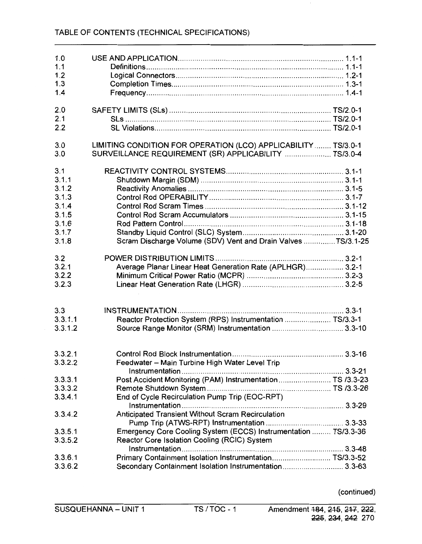| 1.0<br>1.1<br>1.2<br>1.3<br>1.4                                             |                                                                                                                         |  |
|-----------------------------------------------------------------------------|-------------------------------------------------------------------------------------------------------------------------|--|
| 2.0<br>2.1<br>2.2                                                           |                                                                                                                         |  |
| 3.0<br>3.0                                                                  | LIMITING CONDITION FOR OPERATION (LCO) APPLICABILITY  TS/3.0-1<br>SURVEILLANCE REQUIREMENT (SR) APPLICABILITY  TS/3.0-4 |  |
| 3.1<br>3.1.1<br>3.1.2<br>3.1.3<br>3.1.4<br>3.1.5<br>3.1.6<br>3.1.7<br>3.1.8 | Scram Discharge Volume (SDV) Vent and Drain Valves TS/3.1-25                                                            |  |
| 3.2<br>3.2.1<br>3.2.2<br>3.2.3                                              | Average Planar Linear Heat Generation Rate (APLHGR) 3.2-1                                                               |  |
| 3.3<br>3.3.1.1<br>3.3.1.2                                                   | Reactor Protection System (RPS) Instrumentation  TS/3.3-1                                                               |  |
| 3.3.2.1<br>3.3.2.2                                                          | Feedwater - Main Turbine High Water Level Trip                                                                          |  |
| 3.3.3.1<br>3.3.3.2<br>3.3.4.1                                               | Post Accident Monitoring (PAM) Instrumentation TS /3.3-23<br>End of Cycle Recirculation Pump Trip (EOC-RPT)             |  |
| 3.3.4.2                                                                     | Anticipated Transient Without Scram Recirculation                                                                       |  |
| 3.3.5.1<br>3.3.5.2                                                          | Emergency Core Cooling System (ECCS) Instrumentation  TS/3.3-36<br>Reactor Core Isolation Cooling (RCIC) System         |  |
| 3.3.6.1<br>3.3.6.2                                                          | Primary Containment Isolation Instrumentation TS/3.3-52<br>Secondary Containment Isolation Instrumentation 3.3-63       |  |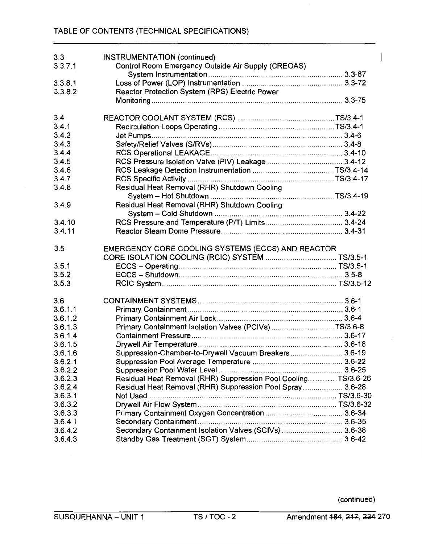| 3.3     | <b>INSTRUMENTATION (continued)</b>                            |  |
|---------|---------------------------------------------------------------|--|
| 3.3.7.1 | Control Room Emergency Outside Air Supply (CREOAS)            |  |
|         |                                                               |  |
| 3.3.8.1 |                                                               |  |
| 3.3.8.2 | Reactor Protection System (RPS) Electric Power                |  |
|         |                                                               |  |
| 3,4     |                                                               |  |
| 3.4.1   |                                                               |  |
| 3.4.2   |                                                               |  |
| 3.4.3   |                                                               |  |
| 3.4.4   |                                                               |  |
| 3.4.5   |                                                               |  |
| 3.4.6   |                                                               |  |
| 3.4.7   |                                                               |  |
| 3.4.8   | Residual Heat Removal (RHR) Shutdown Cooling                  |  |
|         |                                                               |  |
|         |                                                               |  |
| 3.4.9   | Residual Heat Removal (RHR) Shutdown Cooling                  |  |
|         |                                                               |  |
| 3.4.10  |                                                               |  |
| 3.4.11  |                                                               |  |
|         |                                                               |  |
| 3.5     | EMERGENCY CORE COOLING SYSTEMS (ECCS) AND REACTOR             |  |
|         |                                                               |  |
| 3.5.1   |                                                               |  |
| 3.5.2   |                                                               |  |
| 3.5.3   |                                                               |  |
| 3.6     |                                                               |  |
| 3.6.1.1 |                                                               |  |
| 3.6.1.2 |                                                               |  |
| 3.6.1.3 | Primary Containment Isolation Valves (PCIVs) TS/3.6-8         |  |
| 3.6.1.4 |                                                               |  |
| 3.6.1.5 |                                                               |  |
| 3.6.1.6 | Suppression-Chamber-to-Drywell Vacuum Breakers 3.6-19         |  |
| 3.6.2.1 |                                                               |  |
| 3.6.2.2 |                                                               |  |
| 3.6.2.3 | Residual Heat Removal (RHR) Suppression Pool CoolingTS/3.6-26 |  |
| 3.6.2.4 | Residual Heat Removal (RHR) Suppression Pool Spray  3.6-28    |  |
| 3.6.3.1 |                                                               |  |
| 3.6.3.2 |                                                               |  |
| 3.6.3.3 |                                                               |  |
| 3.6.4.1 |                                                               |  |
| 3.6.4.2 | Secondary Containment Isolation Valves (SCIVs)  3.6-38        |  |
| 3.6.4.3 |                                                               |  |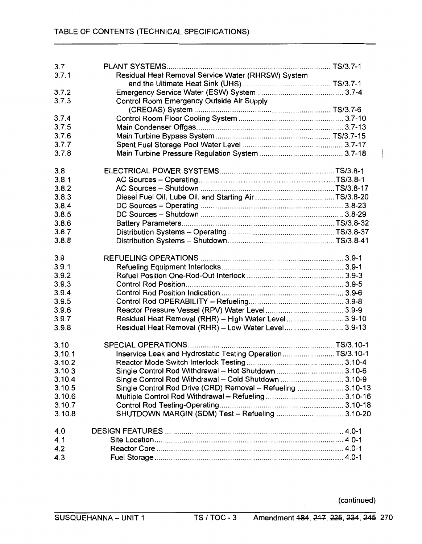| 3.7    |                                                             |  |
|--------|-------------------------------------------------------------|--|
| 3.7.1  | Residual Heat Removal Service Water (RHRSW) System          |  |
|        |                                                             |  |
| 3.7.2  |                                                             |  |
| 3.7.3  | Control Room Emergency Outside Air Supply                   |  |
|        |                                                             |  |
| 3.7.4  |                                                             |  |
|        |                                                             |  |
| 3.7.5  |                                                             |  |
| 3.7.6  |                                                             |  |
| 3.7.7  |                                                             |  |
| 3.7.8  |                                                             |  |
| 3.8    |                                                             |  |
| 3.8.1  |                                                             |  |
| 3.8.2  |                                                             |  |
| 3.8.3  |                                                             |  |
| 3.8.4  |                                                             |  |
| 3.8.5  |                                                             |  |
| 3.8.6  |                                                             |  |
|        |                                                             |  |
| 3.8.7  |                                                             |  |
| 3.8.8  |                                                             |  |
| 3.9    |                                                             |  |
| 3.9.1  |                                                             |  |
| 3.9.2  |                                                             |  |
| 3.9.3  |                                                             |  |
| 3.9.4  |                                                             |  |
| 3.9.5  |                                                             |  |
| 3.9.6  |                                                             |  |
| 3.9.7  | Residual Heat Removal (RHR) - High Water Level 3.9-10       |  |
| 3.9.8  | Residual Heat Removal (RHR) - Low Water Level 3.9-13        |  |
|        |                                                             |  |
| 3.10   |                                                             |  |
| 3.10.1 | Inservice Leak and Hydrostatic Testing OperationTS/3.10-1   |  |
| 3.10.2 |                                                             |  |
| 3.10.3 | Single Control Rod Withdrawal - Hot Shutdown  3.10-6        |  |
| 3.10.4 | Single Control Rod Withdrawal - Cold Shutdown  3.10-9       |  |
| 3.10.5 | Single Control Rod Drive (CRD) Removal - Refueling  3.10-13 |  |
| 3.10.6 |                                                             |  |
| 3.10.7 |                                                             |  |
| 3.10.8 | SHUTDOWN MARGIN (SDM) Test - Refueling  3.10-20             |  |
| 4.0    |                                                             |  |
| 4.1    |                                                             |  |
|        |                                                             |  |
| 4.2    |                                                             |  |
| 4.3    |                                                             |  |

 $\overline{\phantom{a}}$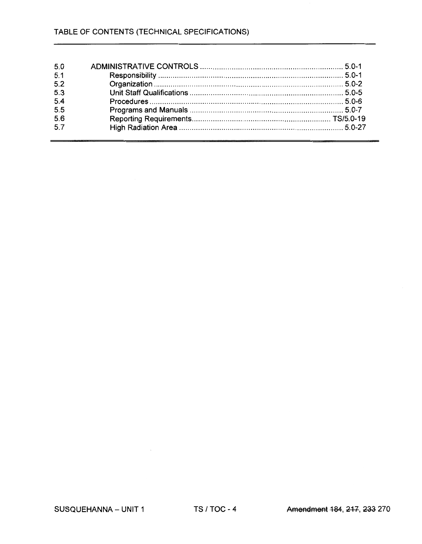| 5.0 |  |
|-----|--|
| 5.1 |  |
| 5.2 |  |
| 5.3 |  |
| 5.4 |  |
| 5.5 |  |
| 5.6 |  |
| 5.7 |  |
|     |  |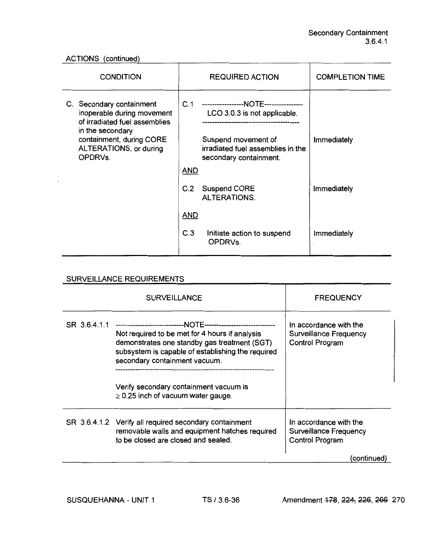ACTIONS (continued)

| <b>CONDITION</b>                                                                                                                                                             | <b>REQUIRED ACTION</b>                                                                                                                                                                             | <b>COMPLETION TIME</b> |
|------------------------------------------------------------------------------------------------------------------------------------------------------------------------------|----------------------------------------------------------------------------------------------------------------------------------------------------------------------------------------------------|------------------------|
| C. Secondary containment<br>inoperable during movement<br>of irradiated fuel assemblies<br>in the secondary<br>containment, during CORE<br>ALTERATIONS, or during<br>OPDRVs. | C.1<br>-----------------NOTE----------------<br>LCO 3.0.3 is not applicable.<br>----------------------------<br>Suspend movement of<br>irradiated fuel assemblies in the<br>secondary containment. | <b>Immediately</b>     |
|                                                                                                                                                                              | <b>AND</b>                                                                                                                                                                                         |                        |
|                                                                                                                                                                              | C.2<br><b>Suspend CORE</b><br><b>ALTERATIONS.</b>                                                                                                                                                  | Immediately            |
|                                                                                                                                                                              | <b>AND</b>                                                                                                                                                                                         |                        |
|                                                                                                                                                                              | C.3<br>Initiate action to suspend<br>OPDRVs.                                                                                                                                                       | Immediately            |

# SURVEILLANCE REQUIREMENTS

|              | <b>SURVEILLANCE</b>                                                                                                                                                                  | <b>FREQUENCY</b>                                                                  |
|--------------|--------------------------------------------------------------------------------------------------------------------------------------------------------------------------------------|-----------------------------------------------------------------------------------|
| SR 3.6.4.1.1 | Not required to be met for 4 hours if analysis<br>demonstrates one standby gas treatment (SGT)<br>subsystem is capable of establishing the required<br>secondary containment vacuum. | In accordance with the<br><b>Surveillance Frequency</b><br><b>Control Program</b> |
|              | Verify secondary containment vacuum is<br>$\geq$ 0.25 inch of vacuum water gauge.                                                                                                    |                                                                                   |
|              | SR 3.6.4.1.2 Verify all required secondary containment<br>removable walls and equipment hatches required<br>to be closed are closed and sealed.                                      | In accordance with the<br><b>Surveillance Frequency</b><br><b>Control Program</b> |
|              |                                                                                                                                                                                      | (continued)                                                                       |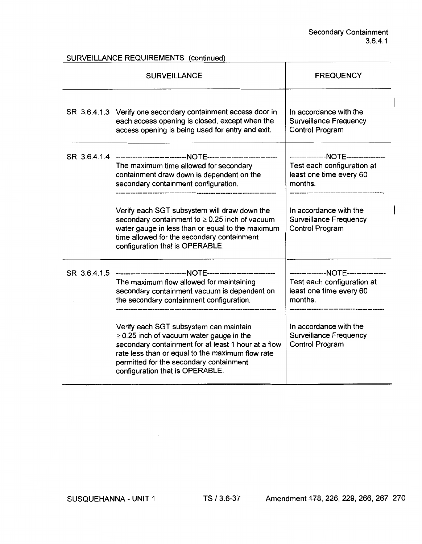SURVEILLANCE REQUIREMENTS (continued)

| <b>SURVEILLANCE</b>                                                                                                                                                                                                                                                              | <b>FREQUENCY</b>                                                                                      |  |
|----------------------------------------------------------------------------------------------------------------------------------------------------------------------------------------------------------------------------------------------------------------------------------|-------------------------------------------------------------------------------------------------------|--|
| SR 3.6.4.1.3 Verify one secondary containment access door in<br>each access opening is closed, except when the<br>access opening is being used for entry and exit.                                                                                                               | In accordance with the<br><b>Surveillance Frequency</b><br><b>Control Program</b>                     |  |
| The maximum time allowed for secondary<br>containment draw down is dependent on the<br>secondary containment configuration.                                                                                                                                                      | --------------NOTE---------------<br>Test each configuration at<br>least one time every 60<br>months. |  |
| Verify each SGT subsystem will draw down the<br>secondary containment to $\geq$ 0.25 inch of vacuum<br>water gauge in less than or equal to the maximum<br>time allowed for the secondary containment<br>configuration that is OPERABLE.                                         | In accordance with the<br><b>Surveillance Frequency</b><br>Control Program                            |  |
| The maximum flow allowed for maintaining<br>secondary containment vacuum is dependent on<br>the secondary containment configuration.                                                                                                                                             | --------------NOTE---------------<br>Test each configuration at<br>least one time every 60<br>months. |  |
| Verify each SGT subsystem can maintain<br>$\geq$ 0.25 inch of vacuum water gauge in the<br>secondary containment for at least 1 hour at a flow<br>rate less than or equal to the maximum flow rate<br>permitted for the secondary containment<br>configuration that is OPERABLE. | In accordance with the<br><b>Surveillance Frequency</b><br><b>Control Program</b>                     |  |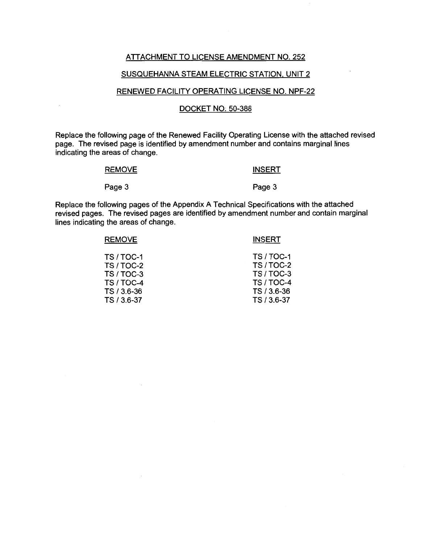## ATTACHMENT TO LICENSE AMENDMENT NO. 252

## SUSQUEHANNA STEAM ELECTRIC STATION, UNIT 2

## RENEWED FACILITY OPERATING LICENSE NO. NPF-22

## DOCKET NO: 50-388

Replace the following page of the Renewed Facility Operating License with the attached revised page. The revised page is identified by amendment number and contains marginal lines indicating the areas of change.

#### **REMOVE**

# **INSERT**

#### Page 3

Page 3

Replace the following pages of the Appendix A Technical Specifications with the attached revised pages. The revised pages are identified by amendment number and contain marginal lines indicating the areas of change.

| <b>REMOVE</b> | <b>INSERT</b>   |
|---------------|-----------------|
| TS/TOC-1      | <b>TS/TOC-1</b> |
| TS / TOC-2    | TS / TOC-2      |
| TS / TOC-3    | TS/TOC-3        |
| TS / TOC-4    | TS/TOC-4        |
| TS / 3.6-36   | TS / 3.6-36     |
| TS / 3.6-37   | TS / 3.6-37     |
|               |                 |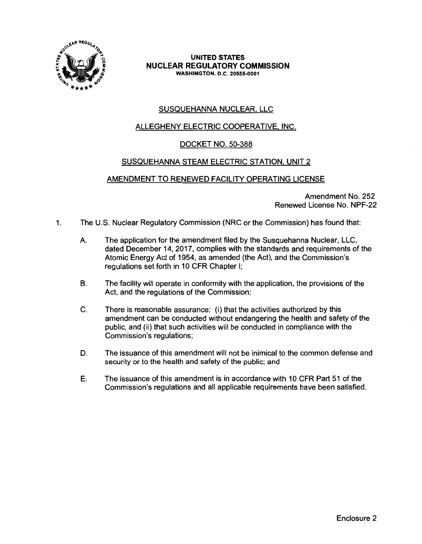

## **UNITED STATES NUCLEAR REGULATORY COMMISSION WASHINGTON,** D.C. **20555-0001**

# SUSQUEHANNA NUCLEAR, LLC

# ALLEGHENY ELECTRIC COOPERATIVE, INC.

# DOCKET NO. 50-388

# SUSQUEHANNA STEAM ELECTRIC STATION, UNIT 2

# AMENDMENT TO RENEWED FACILITY OPERATING LICENSE

Amendment No. 252 Renewed License No. NPF-22

- 1. The U.S. Nuclear Regulatory Commission (NRC or the Commission) has found that:
	- A. The application for the amendment filed by the Susquehanna Nuclear, LLC, dated December 14, 2017, complies with the standards and requirements of the Atomic Energy Act of 1954, as amended (the Act), and the Commission's regulations set forth in 10 CFR Chapter I;
	- B. The facility will operate in conformity with the application, the provisions of the Act, and the regulations of the Commission;
	- C. There is reasonable assurance: (i) that the activities authorized by this amendment can be conducted without endangering the health and safety of the public, and (ii) that such activities will be conducted in compliance with the Commission's regulations;
	- D. The issuance of this amendment will not be inimical to the common defense and security or to the health and safety of the public; and
	- E. The issuance of this amendment is in accordance with 10 CFR Part 51 of the Commission's regulations and all applicable requirements have been satisfied.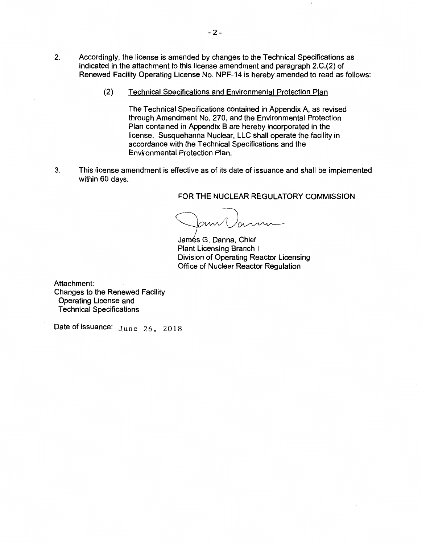- 2. Accordingly, the license is amended by changes to the Technical Specifications as indicated in the attachment to this license amendment and paragraph 2.C.(2) of Renewed Facility Operating License No. NPF-14 is hereby amended to read as follows:
	- (2) Technical Specifications and Environmental Protection Plan

The Technical Specifications contained in Appendix A, as revised through Amendment No. 270, and the Environmental Protection Plan contained in Appendix B are hereby incorporated in the license. Susquehanna Nuclear, LLC shall operate the facility in accordance with the Technical Specifications and the Environmental Protection Plan.

3. This license amendment is effective as of its date of issuance and shall be implemented within 60 days.

### FOR THE **NUCLEAR REGULATORY COMMISSION**

James G. Danna, Chief<br>James G. Danna, Chief<br>Plant Licensing Branch I

Plant Licensing Branch I Division of Operating Reactor Licensing Office of Nuclear Reactor Regulation

Attachment: Changes to the Renewed Facility Operating License and Technical Specifications

Date of Issuance: June 26, 2018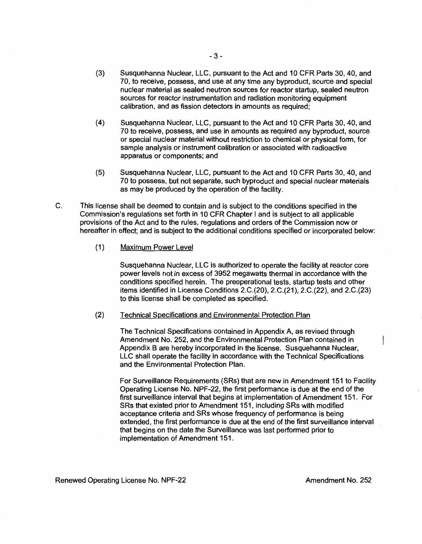- (3) Susquehanna Nuclear, LLC, pursuant to the Act and 10 CFR Parts 30, 40, and 70, to receive, possess, and use at any time any byproduct, source and special nuclear material as sealed neutron sources for reactor startup, sealed neutron sources for reactor instrumentation and radiation monitoring equipment calibration, and as fission detectors in amounts as required;
- (4) Susquehanna Nuclear, LLC, pursuant to the Act and 10 CFR Parts 30, 40, and 70 to receive, possess, and use in amounts as required any byproduct, source or special nuclear material without restriction to chemical or physical form, for sample analysis or instrument calibration or associated with radioactive apparatus or components; and
- (5) Susquehanna Nuclear, LLC, pursuant to the Act and 10 CFR Parts 30, 40, and 70 to possess, but not separate, such byproduct and special nuclear materials as may be produced by the operation of the facility.
- C. This license shall be deemed to contain and is subject to the conditions specified in the Commission's regulations set forth in 10 CFR Chapter I and is subject to all applicable provisions of the Act and to the rules, regulations and orders of the Commission now or hereafter in effect; and is subject to the additional conditions specified or incorporated below:
	- (1) Maximum Power Level

Susquehanna Nuclear, LLC is authorized to operate the facility at reactor core power levels not in excess of 3952 megawatts thermal in accordance with the conditions specified herein. The preoperational tests, startup tests and other items identified in License Conditions 2.C.(20), 2.C.(21 ), 2.C.(22), and 2.C.(23) to this license shall be completed as specified.

(2) Technical Specifications and Environmental Protection Plan

The Technical Specifications contained in Appendix A, as revised through Amendment No. 252, and the Environmental Protection Plan contained in Appendix B are hereby incorporated in the license. Susquehanna Nuclear, LLC shall operate the facility in accordance with the Technical Specifications and the Environmental Protection Plan.

For Surveillance Requirements (SRs) that are new in Amendment 151 to Facility Operating License No. NPF-22, the first performance is due at the end of the first surveillance interval that begins at implementation of Amendment 151. For SRs that existed prior to Amendment 151, including SRs with modified acceptance criteria and SRs whose frequency of performance is being extended, the first performance is due at the end of the first surveillance interval that begins on the date the Surveillance was last performed prior to implementation of Amendment 151.

Renewed Operating License No. NPF-22 Amendment No. 252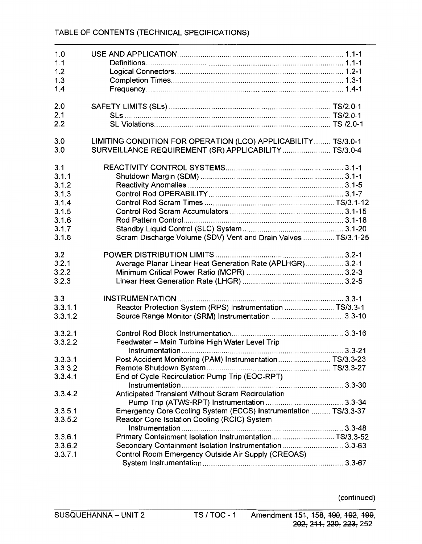| 1.0     |                                                                 |  |
|---------|-----------------------------------------------------------------|--|
| 1.1     |                                                                 |  |
| 1.2     |                                                                 |  |
| 1.3     |                                                                 |  |
| 1.4     |                                                                 |  |
| 2.0     |                                                                 |  |
| 2.1     |                                                                 |  |
| 2.2     |                                                                 |  |
| 3.0     | LIMITING CONDITION FOR OPERATION (LCO) APPLICABILITY TS/3.0-1   |  |
| 3.0     | SURVEILLANCE REQUIREMENT (SR) APPLICABILITY TS/3.0-4            |  |
| 3.1     |                                                                 |  |
| 3.1.1   |                                                                 |  |
| 3.1.2   |                                                                 |  |
| 3.1.3   |                                                                 |  |
| 3.1.4   |                                                                 |  |
| 3.1.5   |                                                                 |  |
| 3.1.6   |                                                                 |  |
| 3.1.7   |                                                                 |  |
| 3.1.8   | Scram Discharge Volume (SDV) Vent and Drain Valves TS/3.1-25    |  |
| 3.2     |                                                                 |  |
| 3.2.1   | Average Planar Linear Heat Generation Rate (APLHGR) 3.2-1       |  |
| 3.2.2   |                                                                 |  |
| 3.2.3   |                                                                 |  |
| 3.3     |                                                                 |  |
| 3.3.1.1 | Reactor Protection System (RPS) Instrumentation TS/3.3-1        |  |
| 3.3.1.2 |                                                                 |  |
| 3.3.2.1 |                                                                 |  |
| 3.3.2.2 | Feedwater - Main Turbine High Water Level Trip                  |  |
|         |                                                                 |  |
| 3.3.3.1 | Post Accident Monitoring (PAM) Instrumentation TS/3.3-23        |  |
| 3.3.3.2 |                                                                 |  |
| 3.3.4.1 | End of Cycle Recirculation Pump Trip (EOC-RPT)                  |  |
| 3.3.4.2 | Anticipated Transient Without Scram Recirculation               |  |
|         |                                                                 |  |
| 3.3.5.1 | Emergency Core Cooling System (ECCS) Instrumentation  TS/3.3-37 |  |
| 3.3.5.2 | Reactor Core Isolation Cooling (RCIC) System                    |  |
|         |                                                                 |  |
| 3.3.6.1 | Primary Containment Isolation InstrumentationTS/3.3-52          |  |
| 3.3.6.2 | Secondary Containment Isolation Instrumentation 3.3-63          |  |
| 3.3.7.1 | Control Room Emergency Outside Air Supply (CREOAS)              |  |
|         |                                                                 |  |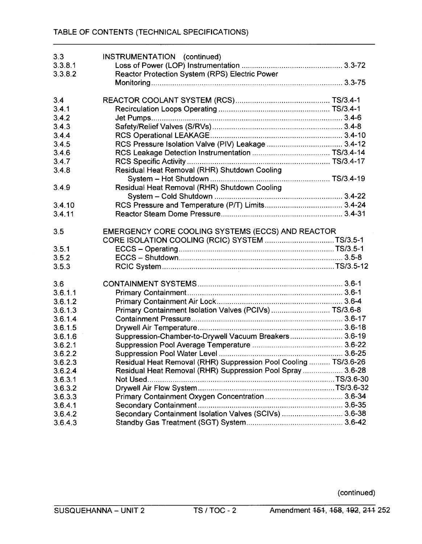| 3.3     | INSTRUMENTATION (continued)                                     |  |
|---------|-----------------------------------------------------------------|--|
| 3.3.8.1 |                                                                 |  |
| 3.3.8.2 | Reactor Protection System (RPS) Electric Power                  |  |
|         |                                                                 |  |
|         |                                                                 |  |
| 3.4     |                                                                 |  |
| 3.4.1   |                                                                 |  |
| 3.4.2   |                                                                 |  |
| 3.4.3   |                                                                 |  |
| 3.4.4   |                                                                 |  |
| 3.4.5   |                                                                 |  |
| 3.4.6   |                                                                 |  |
| 3.4.7   |                                                                 |  |
| 3.4.8   | Residual Heat Removal (RHR) Shutdown Cooling                    |  |
|         |                                                                 |  |
| 3.4.9   | Residual Heat Removal (RHR) Shutdown Cooling                    |  |
|         |                                                                 |  |
| 3.4.10  |                                                                 |  |
| 3.4.11  |                                                                 |  |
|         |                                                                 |  |
| 3.5     | EMERGENCY CORE COOLING SYSTEMS (ECCS) AND REACTOR               |  |
|         | CORE ISOLATION COOLING (RCIC) SYSTEM TS/3.5-1                   |  |
| 3.5.1   |                                                                 |  |
| 3.5.2   |                                                                 |  |
| 3.5.3   |                                                                 |  |
|         |                                                                 |  |
| 3.6     |                                                                 |  |
| 3.6.1.1 |                                                                 |  |
| 3.6.1.2 |                                                                 |  |
| 3.6.1.3 | Primary Containment Isolation Valves (PCIVs) TS/3.6-8           |  |
| 3.6.1.4 |                                                                 |  |
| 3.6.1.5 |                                                                 |  |
| 3.6.1.6 | Suppression-Chamber-to-Drywell Vacuum Breakers 3.6-19           |  |
| 3.6.2.1 |                                                                 |  |
| 3.6.2.2 |                                                                 |  |
| 3.6.2.3 | Residual Heat Removal (RHR) Suppression Pool Cooling  TS/3.6-26 |  |
| 3.6.2.4 | Residual Heat Removal (RHR) Suppression Pool Spray  3.6-28      |  |
| 3.6.3.1 | Not Used                                                        |  |
| 3.6.3.2 |                                                                 |  |
| 3.6.3.3 |                                                                 |  |
| 3.6.4.1 |                                                                 |  |
| 3.6.4.2 | Secondary Containment Isolation Valves (SCIVs)  3.6-38          |  |
| 3.6.4.3 |                                                                 |  |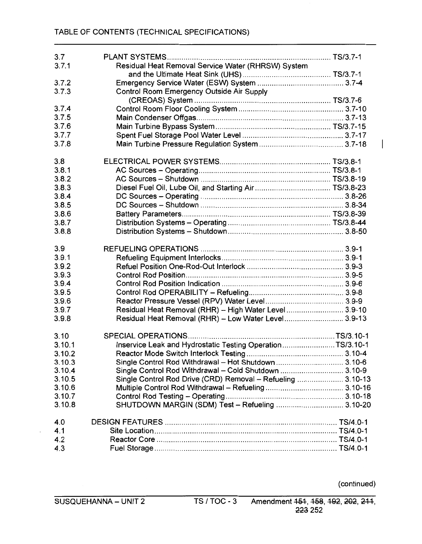| 3.7              |                                                             |  |
|------------------|-------------------------------------------------------------|--|
| 3.7.1            | Residual Heat Removal Service Water (RHRSW) System          |  |
|                  |                                                             |  |
| 3.7.2            |                                                             |  |
| 3.7.3            | Control Room Emergency Outside Air Supply                   |  |
|                  |                                                             |  |
| 3.7.4            |                                                             |  |
| 3.7.5            |                                                             |  |
| 3.7.6            |                                                             |  |
|                  |                                                             |  |
| 3.7.7            |                                                             |  |
| 3.7.8            |                                                             |  |
| 3.8              |                                                             |  |
| 3.8.1            |                                                             |  |
| 3.8.2            |                                                             |  |
| 3.8.3            |                                                             |  |
| 3.8.4            |                                                             |  |
| 3.8.5            |                                                             |  |
| 3.8.6            |                                                             |  |
| 3.8.7            |                                                             |  |
| 3.8.8            |                                                             |  |
|                  |                                                             |  |
| 3.9              |                                                             |  |
| 3.9.1            |                                                             |  |
| 3.9.2            |                                                             |  |
| 3.9.3            |                                                             |  |
| 3.9.4            |                                                             |  |
| 3.9.5            |                                                             |  |
| 3.9.6            |                                                             |  |
| 3.9.7            | Residual Heat Removal (RHR) - High Water Level 3.9-10       |  |
| 3.9.8            | Residual Heat Removal (RHR) - Low Water Level 3.9-13        |  |
| 3.10             |                                                             |  |
| 3.10.1           | Inservice Leak and Hydrostatic Testing OperationTS/3.10-1   |  |
| 3.10.2           |                                                             |  |
| 3.10.3           | Single Control Rod Withdrawal - Hot Shutdown  3.10-6        |  |
| 3.10.4           | Single Control Rod Withdrawal - Cold Shutdown  3.10-9       |  |
| 3.10.5           | Single Control Rod Drive (CRD) Removal - Refueling  3.10-13 |  |
| 3.10.6           |                                                             |  |
|                  |                                                             |  |
| 3.10.7<br>3.10.8 | SHUTDOWN MARGIN (SDM) Test - Refueling  3.10-20             |  |
|                  |                                                             |  |
| 4.0              |                                                             |  |
| 4.1              |                                                             |  |
| 4.2              |                                                             |  |
| 4.3              |                                                             |  |
|                  |                                                             |  |

 $\overline{\phantom{a}}$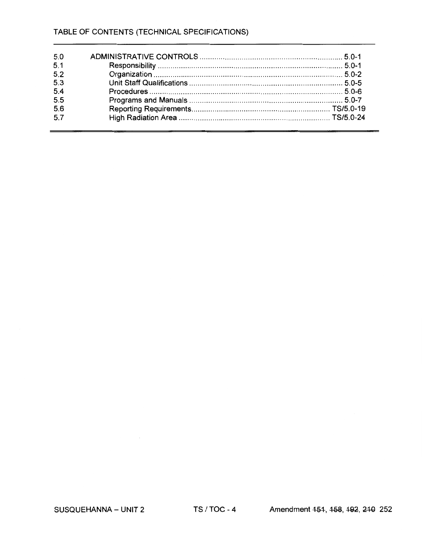| 5.0 |  |
|-----|--|
| 5.1 |  |
| 5.2 |  |
| 5.3 |  |
| 5.4 |  |
| 5.5 |  |
| 5.6 |  |
| 5.7 |  |

 $\mathcal{L}_{\mathcal{A}}$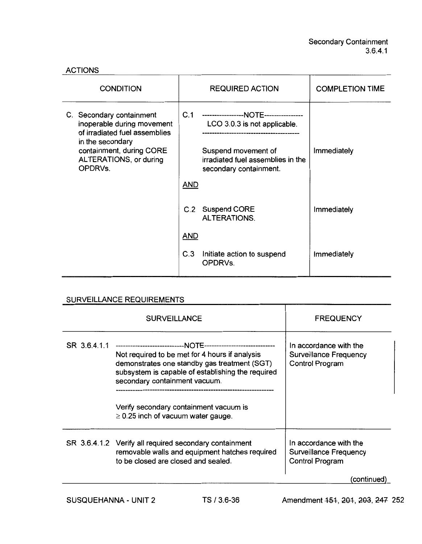| <b>ACTIONS</b> |  |
|----------------|--|
|----------------|--|

| <b>CONDITION</b>                                                                                                                                                             | <b>REQUIRED ACTION</b>                                                                                                                                             | <b>COMPLETION TIME</b> |
|------------------------------------------------------------------------------------------------------------------------------------------------------------------------------|--------------------------------------------------------------------------------------------------------------------------------------------------------------------|------------------------|
| C. Secondary containment<br>inoperable during movement<br>of irradiated fuel assemblies<br>in the secondary<br>containment, during CORE<br>ALTERATIONS, or during<br>OPDRVs. | C.1<br>-----------------NOTE----------------<br>LCO 3.0.3 is not applicable.<br>Suspend movement of<br>irradiated fuel assemblies in the<br>secondary containment. | Immediately            |
|                                                                                                                                                                              | <b>AND</b>                                                                                                                                                         |                        |
|                                                                                                                                                                              | C.2 Suspend CORE<br><b>ALTERATIONS.</b>                                                                                                                            | Immediately            |
|                                                                                                                                                                              | <b>AND</b>                                                                                                                                                         |                        |
|                                                                                                                                                                              | C.3<br>Initiate action to suspend<br>OPDRVs.                                                                                                                       | <b>Immediately</b>     |

# SURVEILLANCE REQUIREMENTS

|              | <b>SURVEILLANCE</b>                                                                                                                                                                  | <b>FREQUENCY</b>                                                                  |
|--------------|--------------------------------------------------------------------------------------------------------------------------------------------------------------------------------------|-----------------------------------------------------------------------------------|
| SR 3.6.4.1.1 | Not required to be met for 4 hours if analysis<br>demonstrates one standby gas treatment (SGT)<br>subsystem is capable of establishing the required<br>secondary containment vacuum. | In accordance with the<br>Surveillance Frequency<br><b>Control Program</b>        |
|              | Verify secondary containment vacuum is<br>$\geq$ 0.25 inch of vacuum water gauge.                                                                                                    |                                                                                   |
|              | SR 3.6.4.1.2 Verify all required secondary containment<br>removable walls and equipment hatches required<br>to be closed are closed and sealed.                                      | In accordance with the<br><b>Surveillance Frequency</b><br><b>Control Program</b> |
|              |                                                                                                                                                                                      | continued                                                                         |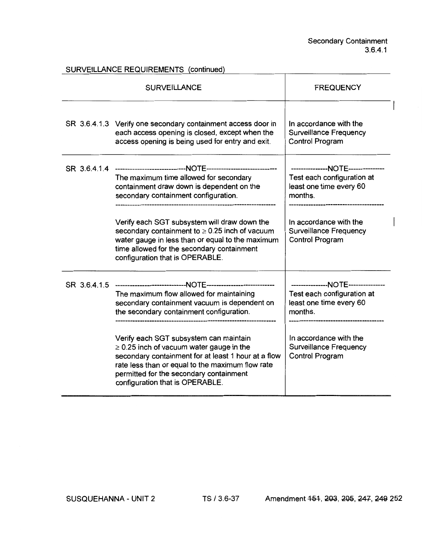SURVEILLANCE REQUIREMENTS (continued)

| <b>SURVEILLANCE</b>                                                                                                                                                                                                                                                                                                                                                                                                      | <b>FREQUENCY</b>                                                                                                                                                                            |  |
|--------------------------------------------------------------------------------------------------------------------------------------------------------------------------------------------------------------------------------------------------------------------------------------------------------------------------------------------------------------------------------------------------------------------------|---------------------------------------------------------------------------------------------------------------------------------------------------------------------------------------------|--|
| SR 3.6.4.1.3 Verify one secondary containment access door in<br>each access opening is closed, except when the<br>access opening is being used for entry and exit.                                                                                                                                                                                                                                                       | In accordance with the<br><b>Surveillance Frequency</b><br>Control Program                                                                                                                  |  |
| The maximum time allowed for secondary<br>containment draw down is dependent on the<br>secondary containment configuration.<br>Verify each SGT subsystem will draw down the<br>secondary containment to $\geq$ 0.25 inch of vacuum<br>water gauge in less than or equal to the maximum<br>time allowed for the secondary containment<br>configuration that is OPERABLE.                                                  | ---------------NOTE---------------<br>Test each configuration at<br>least one time every 60<br>months.<br>In accordance with the<br><b>Surveillance Frequency</b><br><b>Control Program</b> |  |
| The maximum flow allowed for maintaining<br>secondary containment vacuum is dependent on<br>the secondary containment configuration.<br>Verify each SGT subsystem can maintain<br>$\geq$ 0.25 inch of vacuum water gauge in the<br>secondary containment for at least 1 hour at a flow<br>rate less than or equal to the maximum flow rate<br>permitted for the secondary containment<br>configuration that is OPERABLE. | ---------------NOTE--------------<br>Test each configuration at<br>least one time every 60<br>months.<br>In accordance with the<br><b>Surveillance Frequency</b><br>Control Program         |  |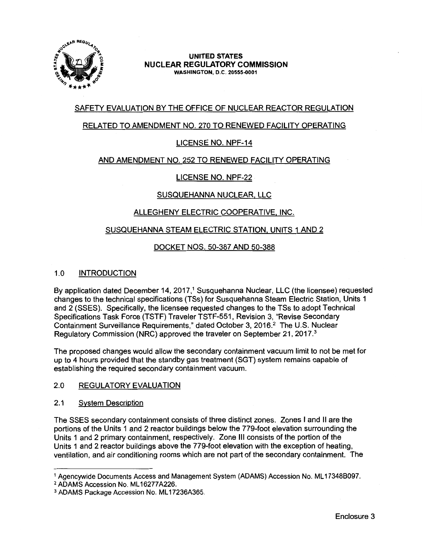

## **UNITED STATES NUCLEAR REGULATORY COMMISSION WASHINGTON,** D.C. **20555-0001**

# **SAFETY EVALUATION BY** THE OFFICE **OF NUCLEAR REACTOR REGULATION**

# RELATED TO **AMENDMENT NO.** 270 **TO RENEWED FACILITY OPERATING**

# LICENSE **NO. NPF-14**

# **AND AMENDMENT NO.** 252 TO **RENEWED FACILITY OPERATING**

# LICENSE **NO. NPF-22**

# **SUSQUEHANNA** NUCLEAR. LLC

# **ALLEGHENY** ELECTRIC COOPERATIVE, **INC.**

# **SUSQUEHANNA STEAM** ELECTRIC **STATION, UNITS** 1 **AND 2**

# DOCKET **NOS.** 50-387 AND 50-388

## 1.0 **INTRODUCTION**

By application dated December 14, 2017,<sup>1</sup> Susquehanna Nuclear, LLC (the licensee) requested changes to the technical specifications (TSs) for Susquehanna Steam Electric Station, Units 1 and 2 (SSES). Specifically, the licensee requested changes to the TSs to adopt Technical Specifications Task Force (TSTF) Traveler TSTF-551, Revision 3, "Revise Secondary Containment Surveillance Requirements," dated October 3, 2016.2 The U.S. Nuclear Regulatory Commission (NRC) approved the traveler on September 21, 2017. <sup>3</sup>

The proposed changes would allow the secondary containment vacuum limit to not be met for up to 4 hours provided that the standby gas treatment (SGT} system remains capable of establishing the required secondary containment vacuum.

#### 2.0 REGULATORY EVALUATION

#### 2.1 System Description

The SSES secondary containment consists of three distinct zones. Zones I and 11 are the portions of the Units 1 and 2 reactor buildings below the 779-foot elevation surrounding the Units 1 and 2 primary containment, respectively. Zone Ill consists of the portion of the Units 1 and 2 reactor buildings above the 779-foot elevation with the exception of heating, ventilation, and air conditioning rooms which are not part of the secondary containment. The

<sup>&</sup>lt;sup>1</sup> Agencywide Documents Access and Management System (ADAMS) Accession No. ML17348B097.<br><sup>2</sup> ADAMS Accession No. ML16277A226.

<sup>&</sup>lt;sup>3</sup> ADAMS Package Accession No. ML17236A365.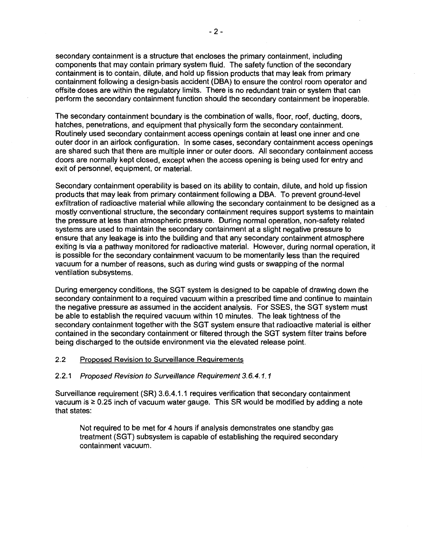secondary containment is a structure that encloses the primary containment, including components that may contain primary system fluid. The safety function of the secondary containment is to contain, dilute, and hold up fission products that may leak from primary containment following a design-basis accident (DBA) to ensure the control room operator and offsite doses are within the regulatory limits. There is no redundant train or system that can perform the secondary containment function should the secondary containment be inoperable.

The secondary containment boundary is the combination of walls, floor, roof, ducting, doors, hatches, penetrations, and equipment that physically form the secondary containment. Routinely used secondary containment access openings contain at least one inner and one outer door in an airlock configuration. In some cases, secondary containment access openings are shared such that there are multiple inner or outer doors. All secondary containment access doors are normally kept closed, except when the access opening is being used for entry and exit of personnel, equipment, or material.

Secondary containment operability is based on its ability to contain, dilute, and hold up fission products that may leak from primary containment following a DBA. To prevent ground-level exfiltration of radioactive material while allowing the secondary containment to be designed as a mostly conventional structure, the secondary containment requires support systems to maintain the pressure at less than atmospheric pressure. During normal operation, non-safety related systems are used to maintain the secondary containment at a slight negative pressure to ensure that any leakage is into the building and that any secondary containment atmosphere exiting is via a pathway monitored for radioactive material. However, during normal operation, it is possible for the secondary containment vacuum to be momentarily less than the required vacuum for a number of reasons, such as during wind gusts or swapping of the normal ventilation subsystems.

During emergency conditions, the SGT system is designed to be capable of drawing down the secondary containment to a required vacuum within a prescribed time and continue to maintain the negative pressure as assumed in the accident analysis. For SSES, the SGT system must be able to establish the required vacuum within 10 minutes. The leak tightness of the secondary containment together with the SGT system ensure that radioactive material is either contained in the secondary containment or filtered through the SGT system filter trains before being discharged to the outside environment via the elevated release point.

## 2.2 Proposed Revision to Surveillance Requirements

#### 2.2.1 Proposed Revision to Surveillance Requirement 3.6.4.1.1

Surveillance requirement (SR) 3.6.4.1.1 requires verification that secondary containment vacuum is  $\geq 0.25$  inch of vacuum water gauge. This SR would be modified by adding a note that states:

Not required to be met for 4 hours if analysis demonstrates one standby gas treatment (SGT) subsystem is capable of establishing the required secondary containment vacuum.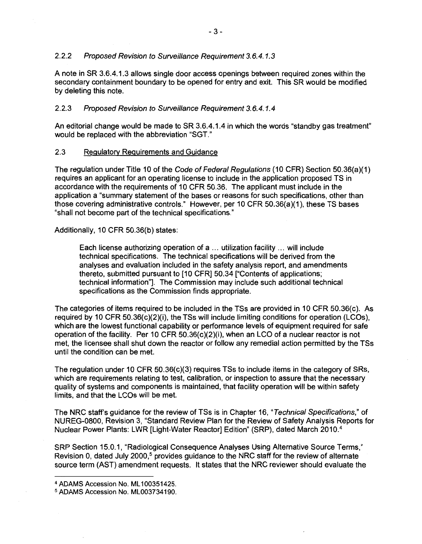## 2.2.2 Proposed Revision to Surveillance Requirement 3.6.4.1.3

A note in SR 3.6.4.1.3 allows single door access openings between required zones within the secondary containment boundary to be opened for entry and exit. This SR would be modified by deleting this note.

# 2.2.3 Proposed Revision to Surveillance Requirement 3.6.4.1.4

An editorial change would be made to SR 3.6.4.1.4 in which the words "standby gas treatment" would be replaced with the abbreviation "SGT."

## 2.3 Regulatory Requirements and Guidance

The regulation under Title 10 of the Code of Federal Regulations (10 CFR) Section 50.36(a)(1) requires an applicant for an operating license to include in the application proposed TS in accordance with the requirements of 10 CFR 50.36. The applicant must include in the application a "summary statement of the bases or reasons for such specifications, other than those covering administrative controls." However, per 10 CFR 50.36(a)(1 ), these TS bases "shall not become part of the technical specifications."

Additionally, 10 CFR 50.36(b) states:

Each license authorizing operation of a ... utilization facility ... will include technical specifications. The technical specifications will be derived from the analyses and evaluation included in the safety analysis report, and amendments thereto, submitted pursuant to [10 CFR] 50.34 ["Contents of applications; technical information"]. The Commission may include such additional technical specifications as the Commission finds appropriate.

The categories of items required to be included in the TSs are provided in 10 CFR 50.36(c). As required by 10 CFR 50.36(c)(2)(i), the TSs will include limiting conditions for operation (LCOs), which are the lowest functional capability or performance levels of equipment required for safe operation of the facility. Per 10 CFR 50.36(c)(2)(i), when an LCO of a nuclear reactor is not met, the licensee shall shut down the reactor or follow any remedial action permitted by the TSs until the condition can be met.

The regulation under 10 CFR 50.36(c)(3) requires TSs to include items in the category of SRs, which are requirements relating to test, calibration, or inspection to assure that the necessary quality of systems and components is maintained, that facility operation will be within safety limits, and that the LCOs will be met.

The NRC staff's guidance for the review of TSs is in Chapter 16, "Technical Specifications," of NUREG-0800, Revision 3, "Standard Review Plan for the Review of Safety Analysis Reports for Nuclear Power Plants: LWR [Light-Water Reactor] Edition" (SRP}, dated March 2010. <sup>4</sup>

SRP Section 15.0.1, "Radiological Consequence Analyses Using Alternative Source Terms," Revision 0, dated July 2000,<sup>5</sup> provides guidance to the NRC staff for the review of alternate source term (AST) amendment requests. It states that the NRC reviewer should evaluate the

<sup>4</sup> ADAMS Accession No. ML 100351425. 5 ADAMS Accession No. ML003734190.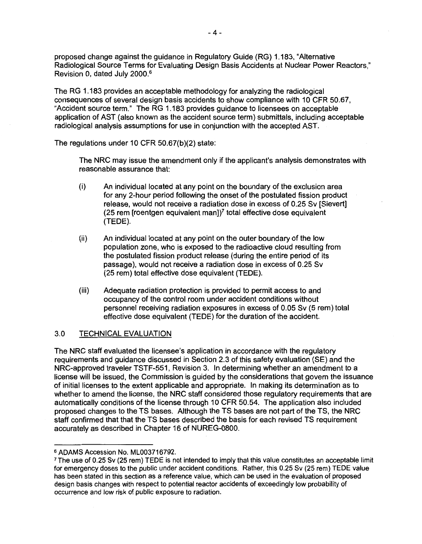proposed change against the guidance in Regulatory Guide (RG) 1.183, "Alternative Radiological Source Terms for Evaluating Design Basis Accidents at Nuclear Power Reactors," Revision 0, dated July 2000. <sup>6</sup>

The RG 1.183 provides an acceptable methodology for analyzing the radiological consequences of several design basis accidents to show compliance with 10 CFR 50.67, "Accident source term." The RG 1.183 provides guidance to licensees on acceptable application of AST (also known as the accident source term) submittals, including acceptable radiological analysis assumptions for use in conjunction with the accepted AST.

The regulations under 10 CFR 50.67(b)(2) state:

The NRC may issue the amendment only if the applicant's analysis demonstrates with reasonable assurance that:

- (i) An individual located at any point on the boundary of the exclusion area for any 2-hour period following the onset of the postulated fission product release, would not receive a radiation dose in excess of 0.25 Sv [Sievert] (25 rem [roentgen equivalent man]) $<sup>7</sup>$  total effective dose equivalent</sup> (TEDE).
- (ii) An individual located at any point on the outer boundary of the low population zone, who is exposed to the radioactive cloud resulting from the postulated fission product release ( during the entire period of its passage), would not receive a radiation dose in excess of 0.25 Sv (25 rem) total effective dose equivalent (TEDE).
- (iii) Adequate radiation protection is provided to permit access to and occupancy of the control room under accident conditions without personnel receiving radiation exposures in excess of 0.05 Sv (5 rem) total effective dose equivalent (TEDE) for the duration of the accident.

# 3.0 TECHNICAL EVALUATION

The NRC staff evaluated the licensee's application in accordance with the regulatory requirements and guidance discussed in Section 2.3 of this safety evaluation (SE) and the NRG-approved traveler TSTF-551, Revision 3. In determining whether an amendment to a license will be issued, the Commission is guided by the considerations that govern the issuance of initial licenses to the extent applicable and appropriate. In making its determination as to whether to amend the license, the NRC staff considered those regulatory requirements that are automatically conditions of the license through 10 CFR 50.54. The application also included proposed changes to the TS bases. Although the TS bases are not part of the TS, the NRC staff confirmed that that the TS bases described the basis for each revised TS requirement accurately as described in Chapter 16 of NUREG-0800.

<sup>&</sup>lt;sup>6</sup> ADAMS Accession No. ML003716792.<br>7 The use of 0.25 Sv (25 rem) TEDE is not intended to imply that this value constitutes an acceptable limit for emergency doses to the public under accident conditions. Rather, this 0.25 Sv (25 rem) TEDE value has been stated in this section as a reference value, which can be used in the evaluation of proposed design basis changes with respect to potential reactor accidents of exceedingly low probability of occurrence and low risk of public exposure to radiation.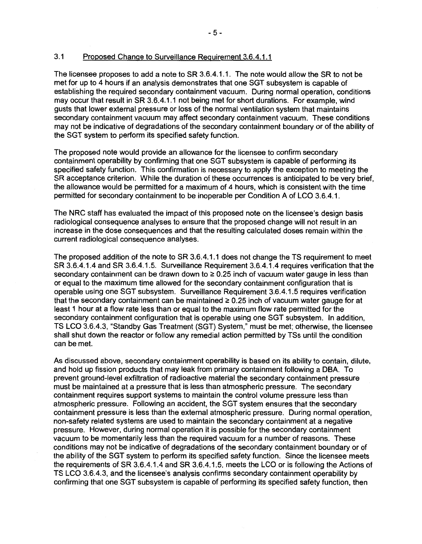## 3.1 Proposed Change to Surveillance Requirement 3.6.4.1.1

The licensee proposes to add a note to SR 3.6.4.1.1. The note would allow the SR to not be met for up to 4 hours if an analysis demonstrates that one SGT subsystem is capable of establishing the required secondary containment vacuum. During normal operation, conditions may occur that result in SR 3.6.4.1.1 not being met for short durations. For example, wind gusts that lower external pressure or loss of the normal ventilation system that maintains secondary containment vacuum may affect secondary containment vacuum. These conditions may not be indicative of degradations of the secondary containment boundary or of the ability of the SGT system to perform its specified safety function.

The proposed note would provide an allowance for the licensee to confirm secondary containment operability by confirming that one SGT subsystem is capable of performing its specified safety function. This confirmation is necessary to apply the exception to meeting the SR acceptance criterion. While the duration of these occurrences is anticipated to be very brief, the allowance would be permitted for a maximum of 4 hours, which is consistent with the time permitted for secondary containment to be inoperable per Condition A of LCO 3.6.4.1.

The NRC staff has evaluated the impact of this proposed note on the licensee's design basis radiological consequence analyses to ensure that the proposed change will not result in an increase in the dose consequences and that the resulting calculated doses remain within the current radiological consequence analyses.

The proposed addition of the note to SR 3.6.4.1.1 does not change the TS requirement to meet SR 3.6.4.1.4 and SR 3.6.4.1.5. Surveillance Requirement 3.6.4.1.4 requires verification that the secondary containment can be drawn down to  $\geq 0.25$  inch of vacuum water gauge in less than or equal to the maximum time allowed for the secondary containment configuration that is operable using one SGT subsystem. Surveillance Requirement 3.6.4.1.5 requires verification that the secondary containment can be maintained  $\geq 0.25$  inch of vacuum water gauge for at least 1 hour at a flow rate less than or equal to the maximum flow rate permitted for the secondary containment configuration that is operable using one SGT subsystem. In addition, TS LCO 3.6.4.3, "Standby Gas Treatment (SGT) System," must be met; otherwise, the licensee shall shut down the reactor or follow any remedial action permitted by TSs until the condition can be met.

As discussed above, secondary containment operability is based on its ability to contain, dilute, and hold up fission products that may leak from primary containment following a DBA. To prevent ground-level exfiltration of radioactive material the secondary containment pressure must be maintained at a pressure that is less than atmospheric pressure. The secondary containment requires support systems to maintain the control volume pressure less than atmospheric pressure. Following an accident, the SGT system ensures that the secondary containment pressure is less than the external atmospheric pressure. During normal operation, non-safety related systems are used to maintain the secondary containment at a negative pressure. However, during normal operation it is possible for the secondary containment vacuum to be momentarily less than the required vacuum for a number of reasons. These conditions may not be indicative of degradations of the secondary containment boundary or of the ability of the SGT system to perform its specified safety function. Since the licensee meets the requirements of SR 3.6.4.1.4 and SR 3.6.4.1.5, meets the LCO or is following the Actions of TS LCO 3.6.4.3, and the licensee's analysis confirms secondary containment operability by confirming that one SGT subsystem is capable of performing its specified safety function, then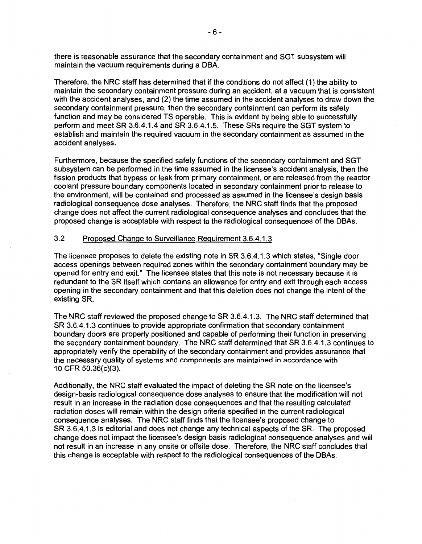there is reasonable assurance that the secondary containment and SGT subsystem will maintain the vacuum requirements during a OBA.

Therefore, the NRC staff has determined that if the conditions do not affect (1) the ability to maintain the secondary containment pressure during an accident, at a vacuum that is consistent with the accident analyses, and (2) the time assumed in the accident analyses to draw down the secondary containment pressure, then the secondary containment can perform its safety function and may be considered TS operable. This is evident by being able to successfully perform and meet SR 3.6.4.1.4 and SR 3.6.4.1.5. These SRs require the SGT system to establish and maintain the required vacuum in the secondary containment as assumed in the accident analyses.

Furthermore, because the specified safety functions of the secondary containment and SGT subsystem can be performed in the time assumed in the licensee's accident analysis, then the fission products that bypass or leak from primary containment, or are released from the reactor coolant pressure boundary components located in secondary containment prior to release to the environment, will be contained and processed as assumed in the licensee's design basis radiological consequence dose analyses. Therefore, the NRC staff finds that the proposed change does not affect the current radiological consequence analyses and concludes that the proposed change is acceptable with respect to the radiological consequences of the DBAs.

## 3.2 Proposed Change to Surveillance Requirement 3.6.4.1.3

The licensee proposes to delete the existing note in SR 3.6.4.1.3 which states, "Single door access openings between required zones within the secondary containment boundary may be opened for entry and exit." The licensee states that this note is not necessary because it is redundant to the SR itself which contains an allowance for entry and exit through each access opening in the secondary containment and that this deletion does not change the intent of the existing SR.

The NRC staff reviewed the proposed change to SR 3.6.4.1.3. The NRC staff determined that SR 3.6.4.1.3 continues to provide appropriate confirmation that secondary containment boundary doors are properly positioned and capable of performing their function in preserving the secondary containment boundary. The NRC staff determined that SR 3.6.4.1.3 continues to appropriately verify the operability of the secondary containment and provides assurance that the necessary quality of systems and components are maintained in accordance with 10 CFR 50.36(c)(3).

Additionally, the NRC staff evaluated the impact of deleting the SR note on the licensee's design-basis radiological consequence dose analyses to ensure that the modification will not result in an increase in the radiation dose consequences and that the resulting calculated radiation doses will remain within the design criteria specified in the current radiological consequence analyses. The NRC staff finds that the licensee's proposed change to SR 3.6.4.1.3 is editorial and does not change any technical aspects of the SR. The proposed change does not impact the licensee's design basis radiological consequence analyses and will not result in an increase in any onsite or offsite dose. Therefore, the NRC staff concludes that this change is acceptable with respect to the radiological consequences of the DBAs.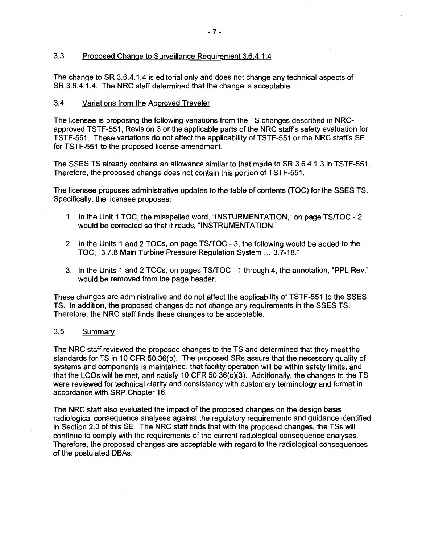## 3.3 Proposed Change to Surveillance Requirement 3.6.4.1.4

The change to SR 3.6.4.1.4 is editorial only and does not change any technical aspects of SR 3.6.4.1.4. The NRC staff determined that the change is acceptable.

## 3.4 Variations from the Approved Traveler

The licensee is proposing the following variations from the TS changes described in NRCapproved TSTF-551, Revision 3 or the applicable parts of the NRC staff's safety evaluation for TSTF-551. These variations do not affect the applicability of TSTF-551 or the NRC staff's SE for TSTF-551 to the proposed license amendment.

The SSES TS already contains an allowance similar to that made to SR 3.6.4.1.3 in TSTF-551. Therefore, the proposed change does not contain this portion of TSTF-551.

The licensee proposes administrative updates to the table of contents (TOC) for the SSES TS. Specifically, the licensee proposes:

- 1. In the Unit 1 TOC, the misspelled word, "INSTURMENTATION," on page TSfTOC 2 would be corrected so that it reads, "INSTRUMENTATION."
- 2. In the Units 1 and 2 TOCs, on page TSfTOC 3, the following would be added to the TOC, "3.7.8 Main Turbine Pressure Regulation System ... 3.7-18."
- 3. In the Units 1 and 2 TOCs, on pages TSfTOC 1 through 4, the annotation, "PPL **Rev."**  would be removed from the page header.

These changes are administrative and do not affect the applicability of TSTF-551 to the SSES TS. In addition, the proposed changes do not change any requirements in the SSES TS. Therefore, the NRC staff finds these changes to be acceptable.

## 3.5 Summary

The NRC staff reviewed the proposed changes to the TS and determined that they meet the standards for TS in 10 CFR 50.36(b). The proposed SRs assure that the necessary quality of systems and components is maintained, that facility operation will be within safety limits, and that the LCOs will be met, and satisfy 10 CFR 50.36(c)(3). Additionally, the changes to the TS were reviewed for technical clarity and consistency with customary terminology and format in accordance with SRP Chapter 16.

The NRC staff also evaluated the impact of the proposed changes on the design basis radiological consequence analyses against the regulatory requirements and guidance identified in Section 2.3 of this SE. The NRC staff finds that with the proposed changes, the TSs will continue to comply with the requirements of the current radiological consequence analyses. Therefore, the proposed changes are acceptable with regard to the radiological consequences of the postulated DBAs.